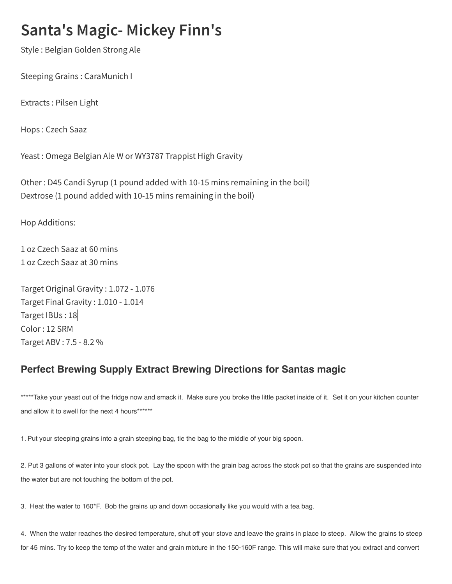## **Santa's Magic- Mickey Finn's**

Style : Belgian Golden Strong Ale

Steeping Grains : CaraMunich I

Extracts : Pilsen Light

Hops : Czech Saaz

Yeast : Omega Belgian Ale W or WY3787 Trappist High Gravity

Other : D45 Candi Syrup (1 pound added with 10-15 mins remaining in the boil) Dextrose (1 pound added with 10-15 mins remaining in the boil)

Hop Additions:

1 oz Czech Saaz at 60 mins 1 oz Czech Saaz at 30 mins

Target Original Gravity : 1.072 - 1.076 Target Final Gravity : 1.010 - 1.014 Target IBUs : 18 Color : 12 SRM Target ABV : 7.5 - 8.2 %

## Perfect Brewing Supply Extract Brewing Directions for Santas magic

\*\*\*\*\*Take your yeast out of the fridge now and smack it. Make sure you broke the little packet inside of it. Set it on your kitchen counter and allow it to swell for the next 4 hours\*\*\*\*\*\*\*

1. Put your steeping grains into a grain steeping bag, tie the bag to the middle of your big spoon.

2. Put 3 gallons of water into your stock pot. Lay the spoon with the grain bag across the stock pot so that the grains are suspended into the water but are not touching the bottom of the pot.

3. Heat the water to 160\*F. Bob the grains up and down occasionally like you would with a tea bag.

4. When the water reaches the desired temperature, shut off your stove and leave the grains in place to steep. Allow the grains to steep for 45 mins. Try to keep the temp of the water and grain mixture in the 150-160F range. This will make sure that you extract and convert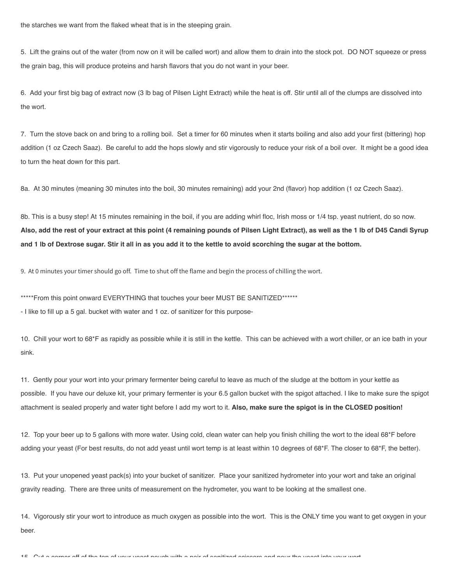the starches we want from the flaked wheat that is in the steeping grain.

5. Lift the grains out of the water (from now on it will be called wort) and allow them to drain into the stock pot. DO NOT squeeze or press the grain bag, this will produce proteins and harsh flavors that you do not want in your beer.

6. Add your first big bag of extract now (3 lb bag of Pilsen Light Extract) while the heat is off. Stir until all of the clumps are dissolved into the wort.

7. Turn the stove back on and bring to a rolling boil. Set a timer for 60 minutes when it starts boiling and also add your first (bittering) hop addition (1 oz Czech Saaz). Be careful to add the hops slowly and stir vigorously to reduce your risk of a boil over. It might be a good idea to turn the heat down for this part.

8a. At 30 minutes (meaning 30 minutes into the boil, 30 minutes remaining) add your 2nd (flavor) hop addition (1 oz Czech Saaz).

8b. This is a busy step! At 15 minutes remaining in the boil, if you are adding whirl floc, Irish moss or 1/4 tsp. yeast nutrient, do so now. Also, add the rest of your extract at this point (4 remaining pounds of Pilsen Light Extract), as well as the 1 lb of D45 Candi Syrup and 1 lb of Dextrose sugar. Stir it all in as you add it to the kettle to avoid scorching the sugar at the bottom.

9. At 0 minutes your timer should go off. Time to shut off the flame and begin the process of chilling the wort.

\*\*\*\*\*From this point onward EVERYTHING that touches your beer MUST BE SANITIZED\*\*\*\*\*\*

- I like to fill up a 5 gal. bucket with water and 1 oz. of sanitizer for this purpose-

10. Chill your wort to 68\*F as rapidly as possible while it is still in the kettle. This can be achieved with a wort chiller, or an ice bath in your sink.

11. Gently pour your wort into your primary fermenter being careful to leave as much of the sludge at the bottom in your kettle as possible. If you have our deluxe kit, your primary fermenter is your 6.5 gallon bucket with the spigot attached. I like to make sure the spigot attachment is sealed properly and water tight before I add my wort to it. Also, make sure the spigot is in the CLOSED position!

12. Top your beer up to 5 gallons with more water. Using cold, clean water can help you finish chilling the wort to the ideal 68\*F before adding your yeast (For best results, do not add yeast until wort temp is at least within 10 degrees of 68\*F. The closer to 68\*F, the better).

13. Put your unopened yeast pack(s) into your bucket of sanitizer. Place your sanitized hydrometer into your wort and take an original gravity reading. There are three units of measurement on the hydrometer, you want to be looking at the smallest one.

14. Vigorously stir your wort to introduce as much oxygen as possible into the wort. This is the ONLY time you want to get oxygen in your beer.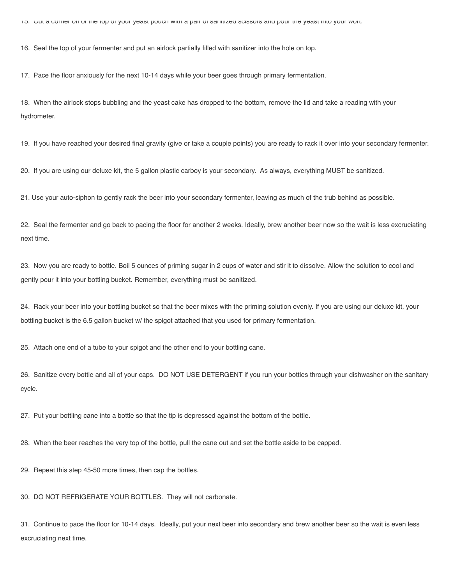15. Cut a corner off of the top of your yeast pouch with a pair of sanitized scissors and pour the yeast into your wort.

16. Seal the top of your fermenter and put an airlock partially filled with sanitizer into the hole on top.

17. Pace the floor anxiously for the next 10-14 days while your beer goes through primary fermentation.

18. When the airlock stops bubbling and the yeast cake has dropped to the bottom, remove the lid and take a reading with your hydrometer.

19. If you have reached your desired final gravity (give or take a couple points) you are ready to rack it over into your secondary fermenter.

20. If you are using our deluxe kit, the 5 gallon plastic carboy is your secondary. As always, everything MUST be sanitized.

21. Use your auto-siphon to gently rack the beer into your secondary fermenter, leaving as much of the trub behind as possible.

22. Seal the fermenter and go back to pacing the floor for another 2 weeks. Ideally, brew another beer now so the wait is less excruciating next time.

23. Now you are ready to bottle. Boil 5 ounces of priming sugar in 2 cups of water and stir it to dissolve. Allow the solution to cool and gently pour it into your bottling bucket. Remember, everything must be sanitized.

24. Rack your beer into your bottling bucket so that the beer mixes with the priming solution evenly. If you are using our deluxe kit, your bottling bucket is the 6.5 gallon bucket w/ the spigot attached that you used for primary fermentation.

25. Attach one end of a tube to your spigot and the other end to your bottling cane.

26. Sanitize every bottle and all of your caps. DO NOT USE DETERGENT if you run your bottles through your dishwasher on the sanitary cycle.

27. Put your bottling cane into a bottle so that the tip is depressed against the bottom of the bottle.

28. When the beer reaches the very top of the bottle, pull the cane out and set the bottle aside to be capped.

29. Repeat this step 45-50 more times, then cap the bottles.

30. DO NOT REFRIGERATE YOUR BOTTLES. They will not carbonate.

31. Continue to pace the floor for 10-14 days. Ideally, put your next beer into secondary and brew another beer so the wait is even less excruciating next time.